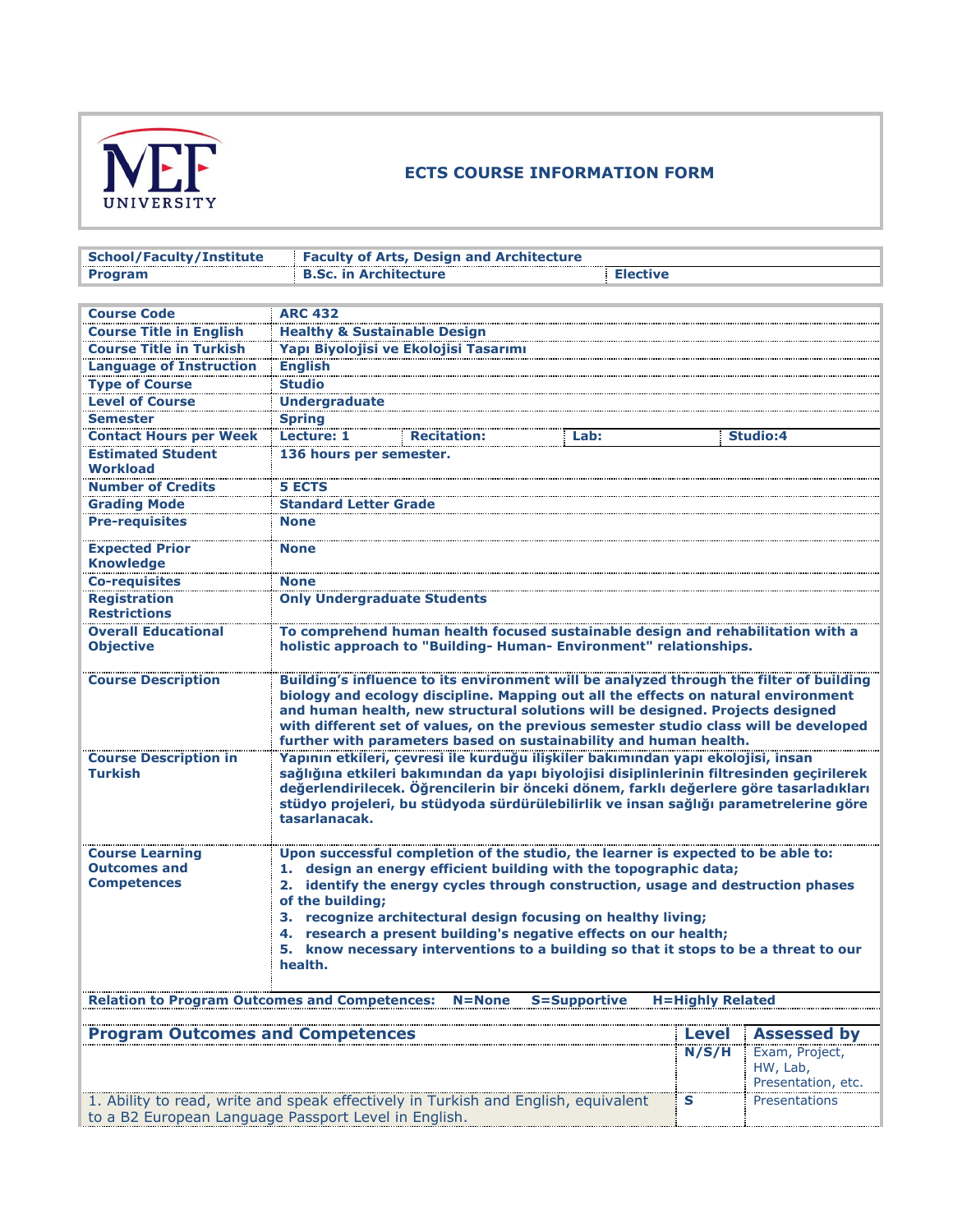

## **ECTS COURSE INFORMATION FORM**

| <b>School/Faculty/Institute</b>                      | <b>Faculty of Arts, Design and Architecture</b>                                                                                                                               |                         |                    |
|------------------------------------------------------|-------------------------------------------------------------------------------------------------------------------------------------------------------------------------------|-------------------------|--------------------|
| <b>Program</b>                                       | <b>B.Sc. in Architecture</b><br><b>Elective</b>                                                                                                                               |                         |                    |
|                                                      |                                                                                                                                                                               |                         |                    |
| <b>Course Code</b>                                   | <b>ARC 432</b>                                                                                                                                                                |                         |                    |
| <b>Course Title in English</b>                       | <b>Healthy &amp; Sustainable Design</b>                                                                                                                                       |                         |                    |
| <b>Course Title in Turkish</b>                       | Yapı Biyolojisi ve Ekolojisi Tasarımı                                                                                                                                         |                         |                    |
| <b>Language of Instruction</b>                       | <b>English</b>                                                                                                                                                                |                         |                    |
| <b>Type of Course</b>                                | <b>Studio</b>                                                                                                                                                                 |                         |                    |
| <b>Level of Course</b>                               | <b>Undergraduate</b>                                                                                                                                                          |                         |                    |
| <b>Semester</b>                                      | <b>Spring</b>                                                                                                                                                                 |                         |                    |
| <b>Contact Hours per Week</b>                        | Lecture: 1<br><b>Recitation:</b><br>Lab:                                                                                                                                      |                         | <b>Studio:4</b>    |
| <b>Estimated Student</b>                             | 136 hours per semester.                                                                                                                                                       |                         |                    |
| <b>Workload</b>                                      |                                                                                                                                                                               |                         |                    |
| <b>Number of Credits</b>                             | <b>5 ECTS</b>                                                                                                                                                                 |                         |                    |
| <b>Grading Mode</b>                                  | <b>Standard Letter Grade</b>                                                                                                                                                  |                         |                    |
| <b>Pre-requisites</b>                                | <b>None</b>                                                                                                                                                                   |                         |                    |
|                                                      |                                                                                                                                                                               |                         |                    |
| <b>Expected Prior</b>                                | <b>None</b>                                                                                                                                                                   |                         |                    |
| <b>Knowledge</b>                                     |                                                                                                                                                                               |                         |                    |
| <b>Co-requisites</b>                                 | <b>None</b>                                                                                                                                                                   |                         |                    |
| <b>Registration</b>                                  | <b>Only Undergraduate Students</b>                                                                                                                                            |                         |                    |
| <b>Restrictions</b>                                  |                                                                                                                                                                               |                         |                    |
| <b>Overall Educational</b>                           | To comprehend human health focused sustainable design and rehabilitation with a                                                                                               |                         |                    |
| <b>Objective</b>                                     | holistic approach to "Building- Human- Environment" relationships.                                                                                                            |                         |                    |
|                                                      |                                                                                                                                                                               |                         |                    |
| <b>Course Description</b>                            | Building's influence to its environment will be analyzed through the filter of building<br>biology and ecology discipline. Mapping out all the effects on natural environment |                         |                    |
|                                                      | and human health, new structural solutions will be designed. Projects designed                                                                                                |                         |                    |
|                                                      | with different set of values, on the previous semester studio class will be developed                                                                                         |                         |                    |
|                                                      | further with parameters based on sustainability and human health.                                                                                                             |                         |                    |
| <b>Course Description in</b>                         | Yapının etkileri, çevresi ile kurduğu ilişkiler bakımından yapı ekolojisi, insan                                                                                              |                         |                    |
| <b>Turkish</b>                                       | sağlığına etkileri bakımından da yapı biyolojisi disiplinlerinin filtresinden geçirilerek                                                                                     |                         |                    |
|                                                      | değerlendirilecek. Öğrencilerin bir önceki dönem, farklı değerlere göre tasarladıkları                                                                                        |                         |                    |
|                                                      | stüdyo projeleri, bu stüdyoda sürdürülebilirlik ve insan sağlığı parametrelerine göre                                                                                         |                         |                    |
|                                                      | tasarlanacak.                                                                                                                                                                 |                         |                    |
|                                                      |                                                                                                                                                                               |                         |                    |
| <b>Course Learning</b><br><b>Outcomes and</b>        | Upon successful completion of the studio, the learner is expected to be able to:<br>1. design an energy efficient building with the topographic data;                         |                         |                    |
| <b>Competences</b>                                   | 2. identify the energy cycles through construction, usage and destruction phases                                                                                              |                         |                    |
|                                                      | of the building;                                                                                                                                                              |                         |                    |
|                                                      | 3. recognize architectural design focusing on healthy living;                                                                                                                 |                         |                    |
|                                                      | 4. research a present building's negative effects on our health;                                                                                                              |                         |                    |
|                                                      | 5. know necessary interventions to a building so that it stops to be a threat to our                                                                                          |                         |                    |
|                                                      | health.                                                                                                                                                                       |                         |                    |
|                                                      |                                                                                                                                                                               |                         |                    |
| <b>Relation to Program Outcomes and Competences:</b> | <b>S=Supportive</b><br>$N = None$                                                                                                                                             | <b>H=Highly Related</b> |                    |
|                                                      |                                                                                                                                                                               |                         |                    |
| <b>Program Outcomes and Competences</b>              |                                                                                                                                                                               | <b>Level</b>            | <b>Assessed by</b> |
|                                                      |                                                                                                                                                                               | N/S/H                   | Exam, Project,     |
|                                                      |                                                                                                                                                                               |                         | HW, Lab,           |
|                                                      |                                                                                                                                                                               |                         | Presentation, etc. |
|                                                      | 1. Ability to read, write and speak effectively in Turkish and English, equivalent                                                                                            | S                       | Presentations      |
|                                                      | to a B2 European Language Passport Level in English.                                                                                                                          |                         |                    |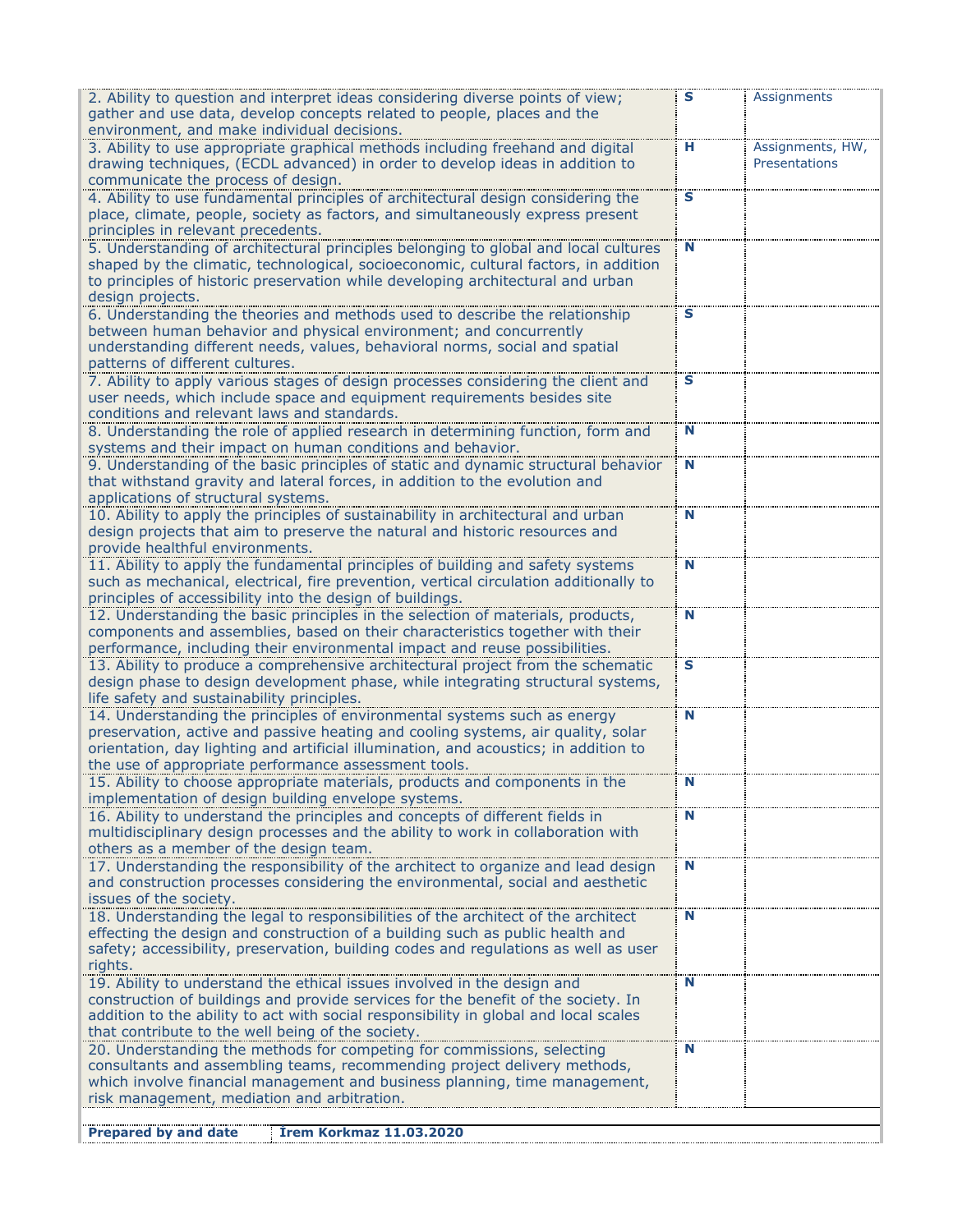| 2. Ability to question and interpret ideas considering diverse points of view;                                                                                             | s | Assignments      |
|----------------------------------------------------------------------------------------------------------------------------------------------------------------------------|---|------------------|
| gather and use data, develop concepts related to people, places and the<br>environment, and make individual decisions.                                                     |   |                  |
| 3. Ability to use appropriate graphical methods including freehand and digital                                                                                             | н | Assignments, HW, |
| drawing techniques, (ECDL advanced) in order to develop ideas in addition to                                                                                               |   | Presentations    |
| communicate the process of design.                                                                                                                                         |   |                  |
| 4. Ability to use fundamental principles of architectural design considering the                                                                                           | S |                  |
| place, climate, people, society as factors, and simultaneously express present                                                                                             |   |                  |
| principles in relevant precedents.                                                                                                                                         |   |                  |
| 5. Understanding of architectural principles belonging to global and local cultures<br>shaped by the climatic, technological, socioeconomic, cultural factors, in addition | N |                  |
| to principles of historic preservation while developing architectural and urban                                                                                            |   |                  |
| design projects.                                                                                                                                                           |   |                  |
| 6. Understanding the theories and methods used to describe the relationship                                                                                                | s |                  |
| between human behavior and physical environment; and concurrently                                                                                                          |   |                  |
| understanding different needs, values, behavioral norms, social and spatial                                                                                                |   |                  |
| patterns of different cultures.                                                                                                                                            |   |                  |
| 7. Ability to apply various stages of design processes considering the client and                                                                                          | S |                  |
| user needs, which include space and equipment requirements besides site<br>conditions and relevant laws and standards.                                                     |   |                  |
| 8. Understanding the role of applied research in determining function, form and                                                                                            | N |                  |
| systems and their impact on human conditions and behavior.                                                                                                                 |   |                  |
| 9. Understanding of the basic principles of static and dynamic structural behavior                                                                                         | N |                  |
| that withstand gravity and lateral forces, in addition to the evolution and                                                                                                |   |                  |
| applications of structural systems.                                                                                                                                        |   |                  |
| 10. Ability to apply the principles of sustainability in architectural and urban                                                                                           | N |                  |
| design projects that aim to preserve the natural and historic resources and                                                                                                |   |                  |
| provide healthful environments.<br>11. Ability to apply the fundamental principles of building and safety systems                                                          | N |                  |
| such as mechanical, electrical, fire prevention, vertical circulation additionally to                                                                                      |   |                  |
| principles of accessibility into the design of buildings.                                                                                                                  |   |                  |
| 12. Understanding the basic principles in the selection of materials, products,                                                                                            | N |                  |
| components and assemblies, based on their characteristics together with their                                                                                              |   |                  |
| performance, including their environmental impact and reuse possibilities.                                                                                                 |   |                  |
| 13. Ability to produce a comprehensive architectural project from the schematic                                                                                            | s |                  |
| design phase to design development phase, while integrating structural systems,<br>life safety and sustainability principles.                                              |   |                  |
| 14. Understanding the principles of environmental systems such as energy                                                                                                   | N |                  |
| preservation, active and passive heating and cooling systems, air quality, solar                                                                                           |   |                  |
| orientation, day lighting and artificial illumination, and acoustics; in addition to                                                                                       |   |                  |
| the use of appropriate performance assessment tools.                                                                                                                       |   |                  |
| 15. Ability to choose appropriate materials, products and components in                                                                                                    | N |                  |
| implementation of design building envelope systems.                                                                                                                        |   |                  |
| 16. Ability to understand the principles and concepts of different fields in                                                                                               | N |                  |
| multidisciplinary design processes and the ability to work in collaboration with<br>others as a member of the design team.                                                 |   |                  |
| 17. Understanding the responsibility of the architect to organize and lead design                                                                                          | N |                  |
| and construction processes considering the environmental, social and aesthetic                                                                                             |   |                  |
| issues of the society.                                                                                                                                                     |   |                  |
| 18. Understanding the legal to responsibilities of the architect of the architect                                                                                          | N |                  |
| effecting the design and construction of a building such as public health and                                                                                              |   |                  |
| safety; accessibility, preservation, building codes and regulations as well as user                                                                                        |   |                  |
| rights.<br>19. Ability to understand the ethical issues involved in the design and                                                                                         | N |                  |
| construction of buildings and provide services for the benefit of the society. In                                                                                          |   |                  |
| addition to the ability to act with social responsibility in global and local scales                                                                                       |   |                  |
| that contribute to the well being of the society.                                                                                                                          |   |                  |
| 20. Understanding the methods for competing for commissions, selecting                                                                                                     | N |                  |
| consultants and assembling teams, recommending project delivery methods,                                                                                                   |   |                  |
| which involve financial management and business planning, time management,<br>risk management, mediation and arbitration.                                                  |   |                  |
|                                                                                                                                                                            |   |                  |
| <b>Irem Korkmaz 11.03.2020</b><br><b>Prepared by and date</b>                                                                                                              |   |                  |